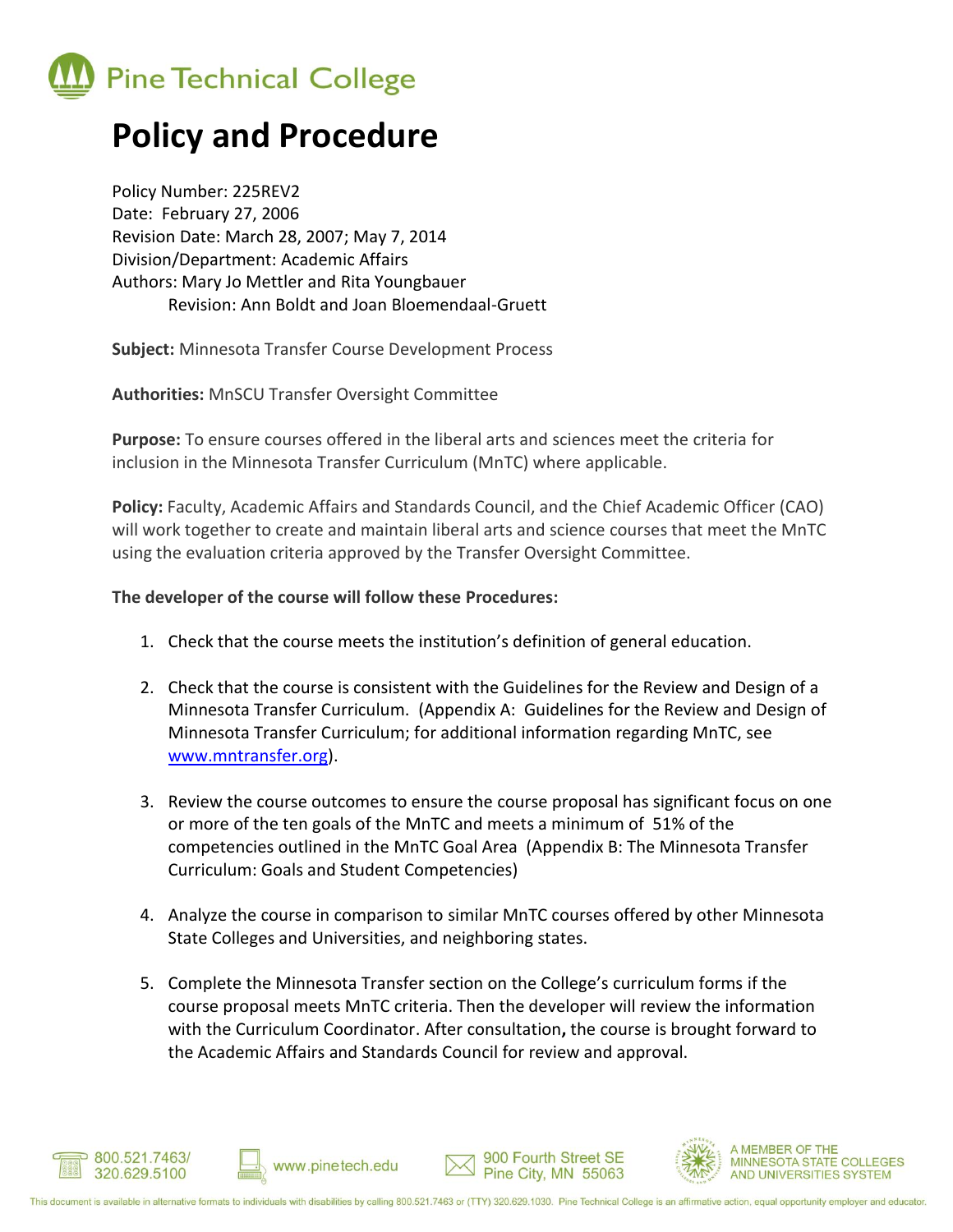

## **Policy and Procedure**

Policy Number: 225REV2 Date: February 27, 2006 Revision Date: March 28, 2007; May 7, 2014 Division/Department: Academic Affairs Authors: Mary Jo Mettler and Rita Youngbauer Revision: Ann Boldt and Joan Bloemendaal-Gruett

**Subject:** Minnesota Transfer Course Development Process

**Authorities:** MnSCU Transfer Oversight Committee

**Purpose:** To ensure courses offered in the liberal arts and sciences meet the criteria for inclusion in the Minnesota Transfer Curriculum (MnTC) where applicable.

**Policy:** Faculty, Academic Affairs and Standards Council, and the Chief Academic Officer (CAO) will work together to create and maintain liberal arts and science courses that meet the MnTC using the evaluation criteria approved by the Transfer Oversight Committee.

## **The developer of the course will follow these Procedures:**

www.pinetech.edu

- 1. Check that the course meets the institution's definition of general education.
- 2. Check that the course is consistent with the Guidelines for the Review and Design of a Minnesota Transfer Curriculum. (Appendix A: Guidelines for the Review and Design of Minnesota Transfer Curriculum; for additional information regarding MnTC, see [www.mntransfer.org\)](http://www.mntransfer.org/).
- 3. Review the course outcomes to ensure the course proposal has significant focus on one or more of the ten goals of the MnTC and meets a minimum of 51% of the competencies outlined in the MnTC Goal Area (Appendix B: The Minnesota Transfer Curriculum: Goals and Student Competencies)
- 4. Analyze the course in comparison to similar MnTC courses offered by other Minnesota State Colleges and Universities, and neighboring states.
- 5. Complete the Minnesota Transfer section on the College's curriculum forms if the course proposal meets MnTC criteria. Then the developer will review the information with the Curriculum Coordinator. After consultation**,** the course is brought forward to the Academic Affairs and Standards Council for review and approval.